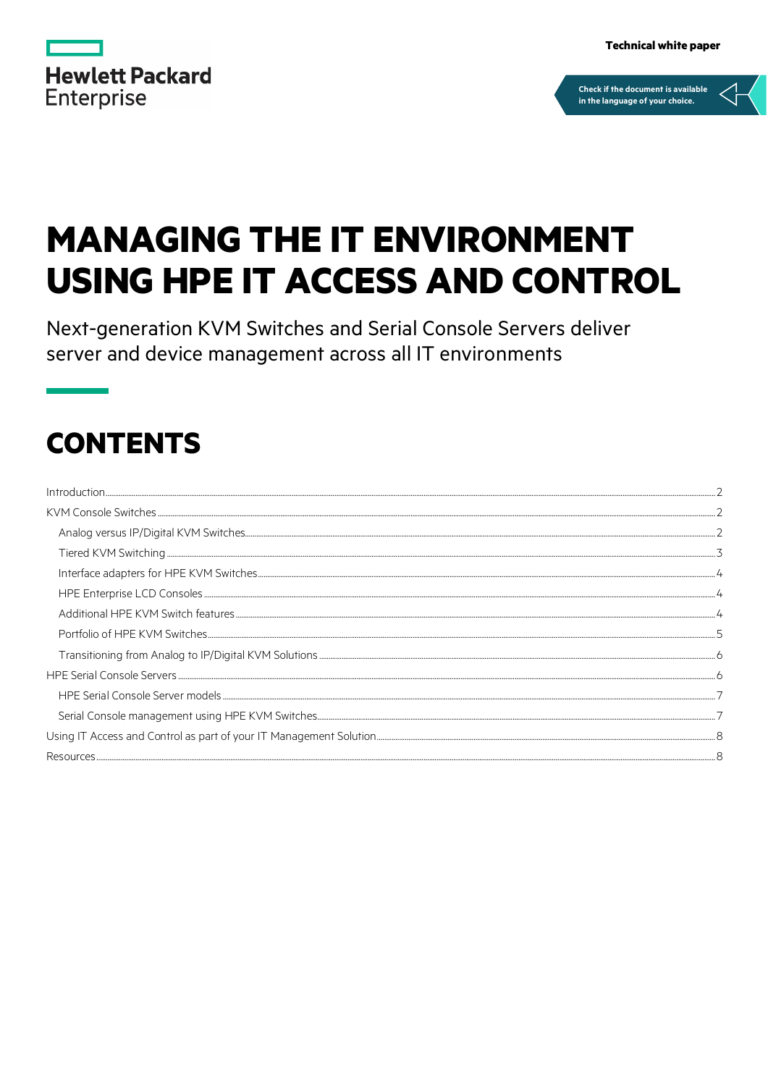|                   | <b>Hewlett Packard</b> |
|-------------------|------------------------|
| <b>Enterprise</b> |                        |

**Technical white paper** 



# **MANAGING THE IT ENVIRONMENT USING HPE IT ACCESS AND CONTROL**

Next-generation KVM Switches and Serial Console Servers deliver server and device management across all IT environments

## **CONTENTS**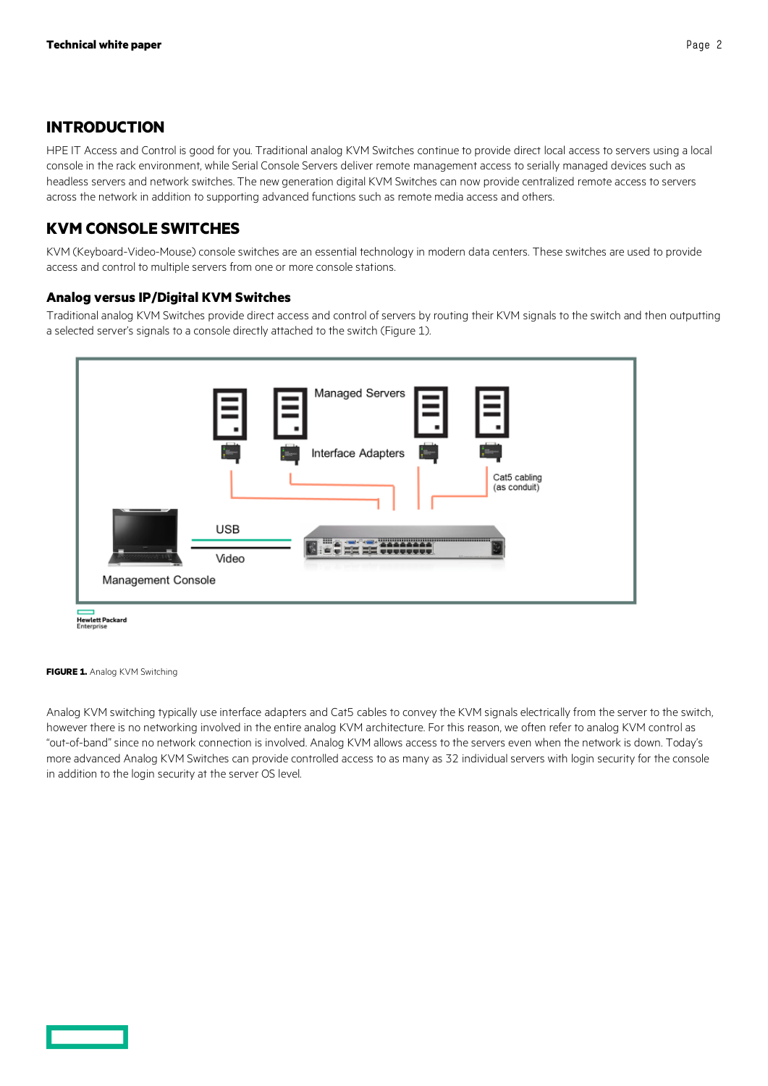## <span id="page-1-0"></span>**INTRODUCTION**

HPE IT Access and Control is good for you. Traditional analog KVM Switches continue to provide direct local access to servers using a local console in the rack environment, while Serial Console Servers deliver remote management access to serially managed devices such as headless servers and network switches. The new generation digital KVM Switches can now provide centralized remote access to servers across the network in addition to supporting advanced functions such as remote media access and others.

## <span id="page-1-1"></span>**KVM CONSOLE SWITCHES**

KVM (Keyboard-Video-Mouse) console switches are an essential technology in modern data centers. These switches are used to provide access and control to multiple servers from one or more console stations.

## <span id="page-1-2"></span>**Analog versus IP/Digital KVM Switches**

Traditional analog KVM Switches provide direct access and control of servers by routing their KVM signals to the switch and then outputting a selected server's signals to a console directly attached to the switch (Figure 1).



Hewlett Packard<br>Enterprise

**FIGURE 1.** Analog KVM Switching

Analog KVM switching typically use interface adapters and Cat5 cables to convey the KVM signals electrically from the server to the switch, however there is no networking involved in the entire analog KVM architecture. For this reason, we often refer to analog KVM control as "out-of-band" since no network connection is involved. Analog KVM allows access to the servers even when the network is down. Today's more advanced Analog KVM Switches can provide controlled access to as many as 32 individual servers with login security for the console in addition to the login security at the server OS level.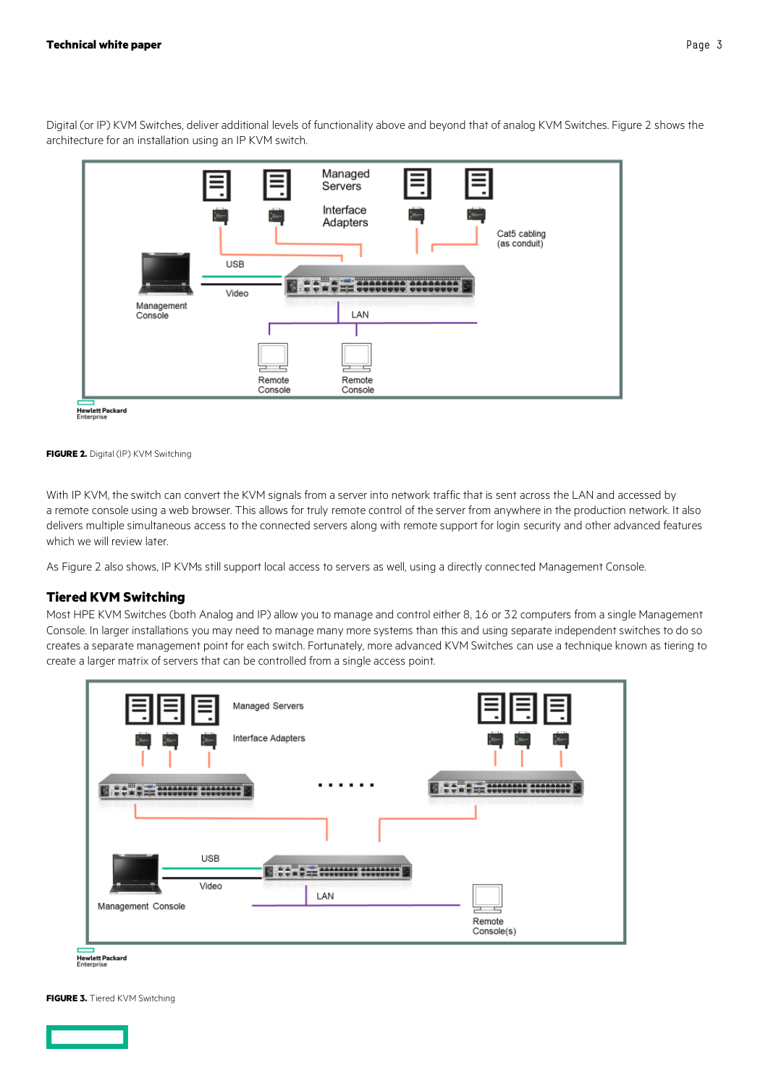



**FIGURE 2.** Digital (IP) KVM Switching

With IP KVM, the switch can convert the KVM signals from a server into network traffic that is sent across the LAN and accessed by a remote console using a web browser. This allows for truly remote control of the server from anywhere in the production network. It also delivers multiple simultaneous access to the connected servers along with remote support for login security and other advanced features which we will review later.

As Figure 2 also shows, IP KVMs still support local access to servers as well, using a directly connected Management Console.

#### <span id="page-2-0"></span>**Tiered KVM Switching**

Most HPE KVM Switches (both Analog and IP) allow you to manage and control either 8, 16 or 32 computers from a single Management Console. In larger installations you may need to manage many more systems than this and using separate independent switches to do so creates a separate management point for each switch. Fortunately, more advanced KVM Switches can use a technique known as tiering to create a larger matrix of servers that can be controlled from a single access point.





**FIGURE 3.** Tiered KVM Switching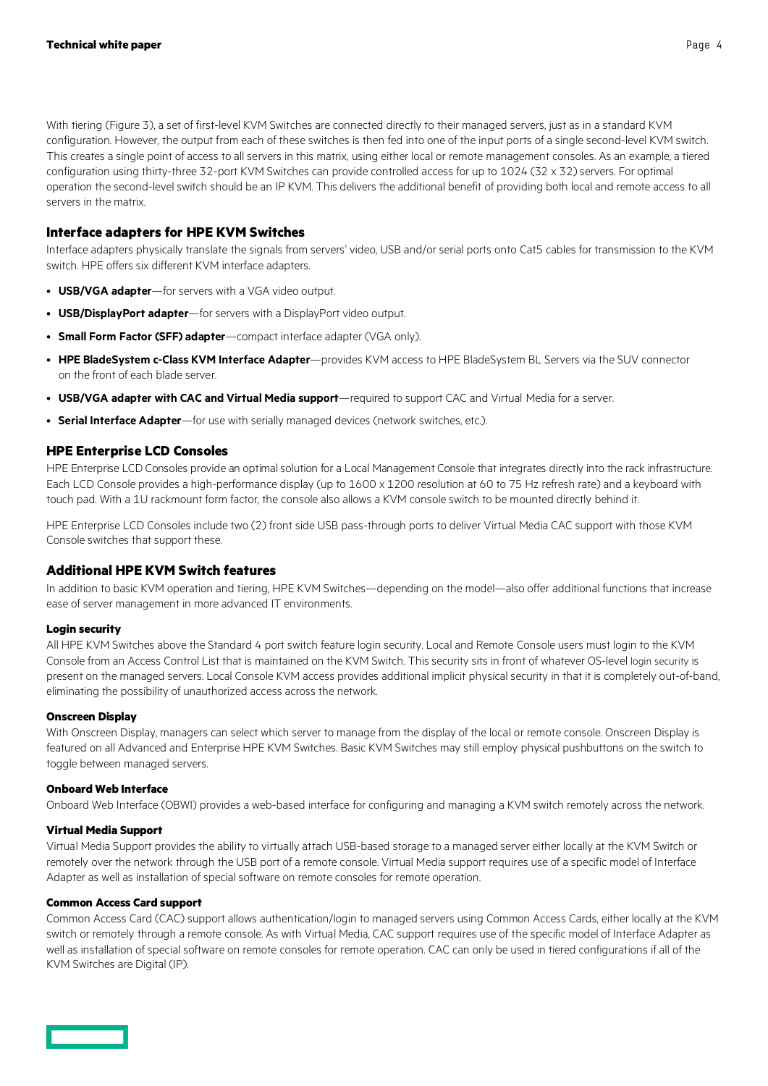With tiering (Figure 3), a set of first-level KVM Switches are connected directly to their managed servers, just as in a standard KVM configuration. However, the output from each of these switches is then fed into one of the input ports of a single second-level KVM switch. This creates a single point of access to all servers in this matrix, using either local or remote management consoles. As an example, a tiered configuration using thirty-three 32-port KVM Switches can provide controlled access for up to 1024 (32 x 32) servers. For optimal operation the second-level switch should be an IP KVM. This delivers the additional benefit of providing both local and remote access to all servers in the matrix.

#### <span id="page-3-0"></span>**Interface adapters for HPE KVM Switches**

Interface adapters physically translate the signals from servers' video, USB and/or serial ports onto Cat5 cables for transmission to the KVM switch. HPE offers six different KVM interface adapters.

- **USB/VGA adapter**—for servers with a VGA video output.
- **USB/DisplayPort adapter**—for servers with a DisplayPort video output.
- **Small Form Factor (SFF) adapter**—compact interface adapter (VGA only).
- **HPE BladeSystem c-Class KVM Interface Adapter**—provides KVM access to HPE BladeSystem BL Servers via the SUV connector on the front of each blade server.
- **USB/VGA adapter with CAC and Virtual Media support**—required to support CAC and Virtual Media for a server.
- **Serial Interface Adapter**—for use with serially managed devices (network switches, etc.).

#### <span id="page-3-1"></span>**HPE Enterprise LCD Consoles**

HPE Enterprise LCD Consoles provide an optimal solution for a Local Management Console that integrates directly into the rack infrastructure. Each LCD Console provides a high-performance display (up to 1600 x 1200 resolution at 60 to 75 Hz refresh rate) and a keyboard with touch pad. With a 1U rackmount form factor, the console also allows a KVM console switch to be mounted directly behind it.

HPE Enterprise LCD Consoles include two (2) front side USB pass-through ports to deliver Virtual Media CAC support with those KVM Console switches that support these.

#### <span id="page-3-2"></span>**Additional HPE KVM Switch features**

In addition to basic KVM operation and tiering, HPE KVM Switches—depending on the model—also offer additional functions that increase ease of server management in more advanced IT environments.

#### **Login security**

All HPE KVM Switches above the Standard 4 port switch feature login security. Local and Remote Console users must login to the KVM Console from an Access Control List that is maintained on the KVM Switch. This security sits in front of whatever OS-level login security is present on the managed servers. Local Console KVM access provides additional implicit physical security in that it is completely out-of-band, eliminating the possibility of unauthorized access across the network.

#### **Onscreen Display**

With Onscreen Display, managers can select which server to manage from the display of the local or remote console. Onscreen Display is featured on all Advanced and Enterprise HPE KVM Switches. Basic KVM Switches may still employ physical pushbuttons on the switch to toggle between managed servers.

#### **Onboard Web Interface**

Onboard Web Interface (OBWI) provides a web-based interface for configuring and managing a KVM switch remotely across the network.

#### **Virtual Media Support**

Virtual Media Support provides the ability to virtually attach USB-based storage to a managed server either locally at the KVM Switch or remotely over the network through the USB port of a remote console. Virtual Media support requires use of a specific model of Interface Adapter as well as installation of special software on remote consoles for remote operation.

#### **Common Access Card support**

Common Access Card (CAC) support allows authentication/login to managed servers using Common Access Cards, either locally at the KVM switch or remotely through a remote console. As with Virtual Media, CAC support requires use of the specific model of Interface Adapter as well as installation of special software on remote consoles for remote operation. CAC can only be used in tiered configurations if all of the KVM Switches are Digital (IP).

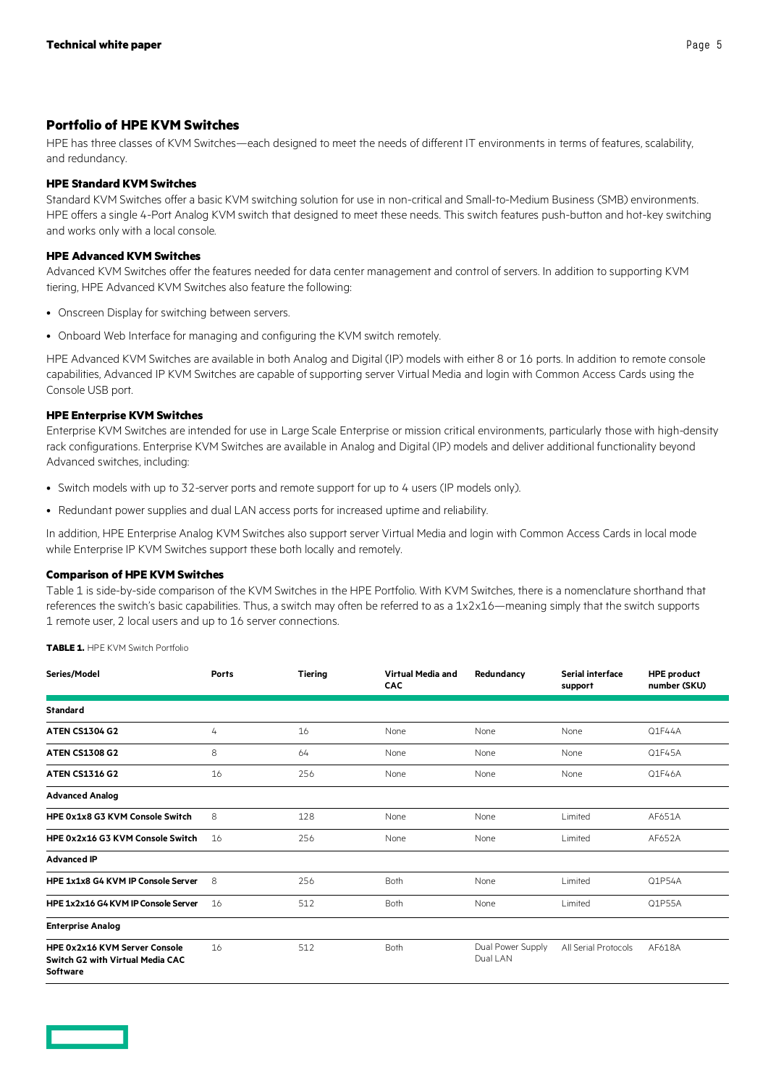#### <span id="page-4-0"></span>**Portfolio of HPE KVM Switches**

HPE has three classes of KVM Switches—each designed to meet the needs of different IT environments in terms of features, scalability, and redundancy.

#### **HPE Standard KVM Switches**

Standard KVM Switches offer a basic KVM switching solution for use in non-critical and Small-to-Medium Business (SMB) environments. HPE offers a single 4-Port Analog KVM switch that designed to meet these needs. This switch features push-button and hot-key switching and works only with a local console.

#### **HPE Advanced KVM Switches**

Advanced KVM Switches offer the features needed for data center management and control of servers. In addition to supporting KVM tiering, HPE Advanced KVM Switches also feature the following:

- Onscreen Display for switching between servers.
- Onboard Web Interface for managing and configuring the KVM switch remotely.

HPE Advanced KVM Switches are available in both Analog and Digital (IP) models with either 8 or 16 ports. In addition to remote console capabilities, Advanced IP KVM Switches are capable of supporting server Virtual Media and login with Common Access Cards using the Console USB port.

#### **HPE Enterprise KVM Switches**

Enterprise KVM Switches are intended for use in Large Scale Enterprise or mission critical environments, particularly those with high-density rack configurations. Enterprise KVM Switches are available in Analog and Digital (IP) models and deliver additional functionality beyond Advanced switches, including:

- Switch models with up to 32-server ports and remote support for up to 4 users (IP models only).
- Redundant power supplies and dual LAN access ports for increased uptime and reliability.

In addition, HPE Enterprise Analog KVM Switches also support server Virtual Media and login with Common Access Cards in local mode while Enterprise IP KVM Switches support these both locally and remotely.

#### **Comparison of HPE KVM Switches**

Table 1 is side-by-side comparison of the KVM Switches in the HPE Portfolio. With KVM Switches, there is a nomenclature shorthand that references the switch's basic capabilities. Thus, a switch may often be referred to as a 1x2x16—meaning simply that the switch supports 1 remote user, 2 local users and up to 16 server connections.

**TABLE 1.** HPE KVM Switch Portfolio

| Series/Model                                                                         | Ports | Tiering | Virtual Media and<br><b>CAC</b> | Redundancy                    | <b>Serial interface</b><br>support | <b>HPE product</b><br>number (SKU) |
|--------------------------------------------------------------------------------------|-------|---------|---------------------------------|-------------------------------|------------------------------------|------------------------------------|
| <b>Standard</b>                                                                      |       |         |                                 |                               |                                    |                                    |
| <b>ATEN CS1304 G2</b>                                                                | 4     | 16      | None                            | None                          | None                               | Q1F44A                             |
| <b>ATEN CS1308 G2</b>                                                                | 8     | 64      | None                            | None                          | None                               | Q1F45A                             |
| <b>ATEN CS1316 G2</b>                                                                | 16    | 256     | None                            | None                          | None                               | Q1F46A                             |
| <b>Advanced Analog</b>                                                               |       |         |                                 |                               |                                    |                                    |
| HPE 0x1x8 G3 KVM Console Switch                                                      | 8     | 128     | None                            | None                          | Limited                            | AF651A                             |
| HPE 0x2x16 G3 KVM Console Switch                                                     | 16    | 256     | None                            | None                          | Limited                            | AF652A                             |
| <b>Advanced IP</b>                                                                   |       |         |                                 |                               |                                    |                                    |
| HPE 1x1x8 G4 KVM IP Console Server                                                   | 8     | 256     | Both                            | None                          | Limited                            | Q1P54A                             |
| HPE 1x2x16 G4 KVM IP Console Server                                                  | 16    | 512     | <b>Both</b>                     | None                          | Limited                            | Q1P55A                             |
| <b>Enterprise Analog</b>                                                             |       |         |                                 |                               |                                    |                                    |
| HPE 0x2x16 KVM Server Console<br>Switch G2 with Virtual Media CAC<br><b>Software</b> | 16    | 512     | Both                            | Dual Power Supply<br>Dual LAN | All Serial Protocols               | AF618A                             |

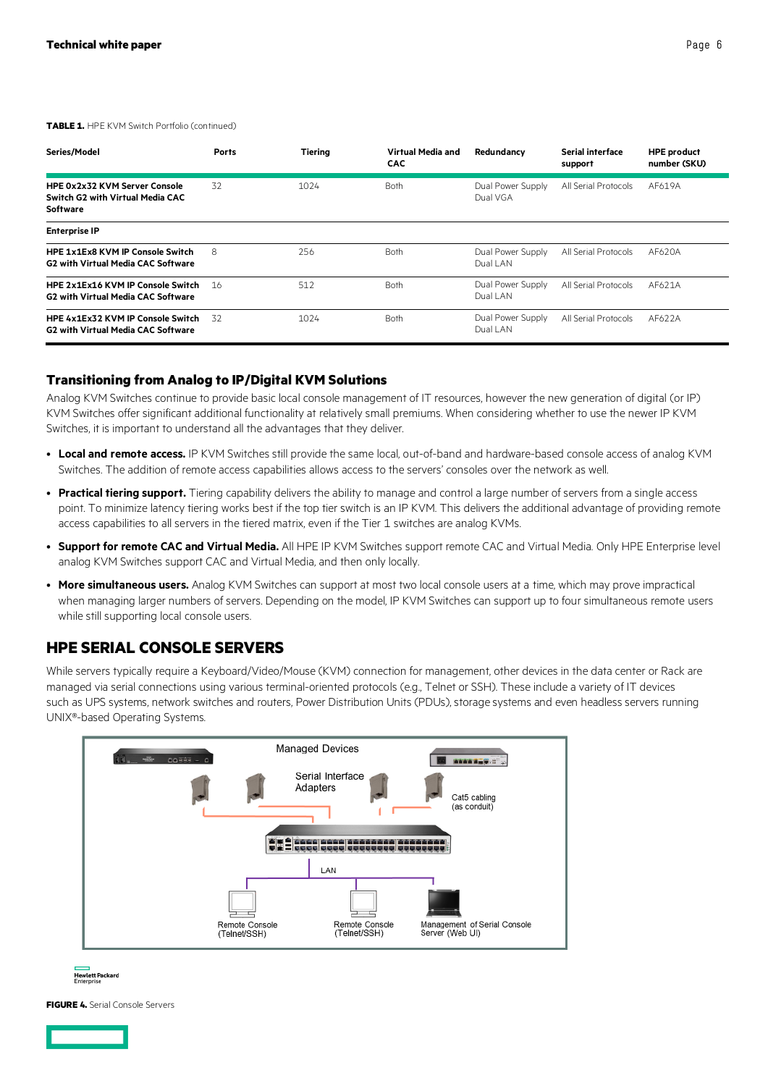| Series/Model                                                                                | <b>Ports</b> | <b>Tiering</b> | Virtual Media and<br><b>CAC</b> | Redundancy                    | <b>Serial interface</b><br>support | <b>HPE product</b><br>number (SKU) |
|---------------------------------------------------------------------------------------------|--------------|----------------|---------------------------------|-------------------------------|------------------------------------|------------------------------------|
| <b>HPE 0x2x32 KVM Server Console</b><br>Switch G2 with Virtual Media CAC<br><b>Software</b> | 32           | 1024           | <b>Both</b>                     | Dual Power Supply<br>Dual VGA | All Serial Protocols               | AF619A                             |
| <b>Enterprise IP</b>                                                                        |              |                |                                 |                               |                                    |                                    |
| <b>HPE 1x1Ex8 KVM IP Console Switch</b><br><b>G2 with Virtual Media CAC Software</b>        | 8            | 256            | <b>Both</b>                     | Dual Power Supply<br>Dual LAN | All Serial Protocols               | AF620A                             |
| HPE 2x1Ex16 KVM IP Console Switch<br><b>G2 with Virtual Media CAC Software</b>              | -16          | 512            | <b>Both</b>                     | Dual Power Supply<br>Dual LAN | All Serial Protocols               | AF621A                             |
| HPE 4x1Ex32 KVM IP Console Switch<br><b>G2 with Virtual Media CAC Software</b>              | 32           | 1024           | <b>Both</b>                     | Dual Power Supply<br>Dual LAN | All Serial Protocols               | AF622A                             |

#### <span id="page-5-0"></span>**Transitioning from Analog to IP/Digital KVM Solutions**

Analog KVM Switches continue to provide basic local console management of IT resources, however the new generation of digital (or IP) KVM Switches offer significant additional functionality at relatively small premiums. When considering whether to use the newer IP KVM Switches, it is important to understand all the advantages that they deliver.

- **Local and remote access.** IP KVM Switches still provide the same local, out-of-band and hardware-based console access of analog KVM Switches. The addition of remote access capabilities allows access to the servers' consoles over the network as well.
- **Practical tiering support.** Tiering capability delivers the ability to manage and control a large number of servers from a single access point. To minimize latency tiering works best if the top tier switch is an IP KVM. This delivers the additional advantage of providing remote access capabilities to all servers in the tiered matrix, even if the Tier 1 switches are analog KVMs.
- **Support for remote CAC and Virtual Media.** All HPE IP KVM Switches support remote CAC and Virtual Media. Only HPE Enterprise level analog KVM Switches support CAC and Virtual Media, and then only locally.
- **More simultaneous users.** Analog KVM Switches can support at most two local console users at a time, which may prove impractical when managing larger numbers of servers. Depending on the model, IP KVM Switches can support up to four simultaneous remote users while still supporting local console users.

## <span id="page-5-1"></span>**HPE SERIAL CONSOLE SERVERS**

While servers typically require a Keyboard/Video/Mouse (KVM) connection for management, other devices in the data center or Rack are managed via serial connections using various terminal-oriented protocols (e.g., Telnet or SSH). These include a variety of IT devices such as UPS systems, network switches and routers, Power Distribution Units (PDUs), storage systems and even headless servers running UNIX®-based Operating Systems.





**FIGURE 4.** Serial Console Servers

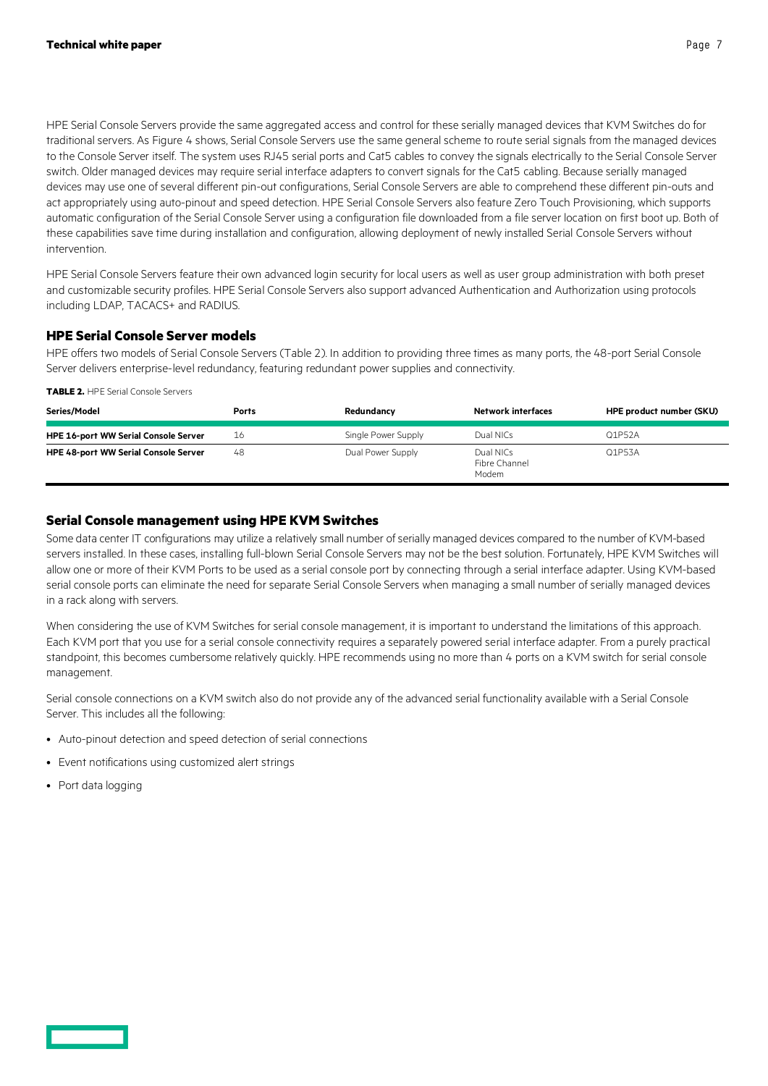HPE Serial Console Servers provide the same aggregated access and control for these serially managed devices that KVM Switches do for traditional servers. As Figure 4 shows, Serial Console Servers use the same general scheme to route serial signals from the managed devices to the Console Server itself. The system uses RJ45 serial ports and Cat5 cables to convey the signals electrically to the Serial Console Server switch. Older managed devices may require serial interface adapters to convert signals for the Cat5 cabling. Because serially managed devices may use one of several different pin-out configurations, Serial Console Servers are able to comprehend these different pin-outs and act appropriately using auto-pinout and speed detection. HPE Serial Console Servers also feature Zero Touch Provisioning, which supports automatic configuration of the Serial Console Server using a configuration file downloaded from a file server location on first boot up. Both of these capabilities save time during installation and configuration, allowing deployment of newly installed Serial Console Servers without intervention.

HPE Serial Console Servers feature their own advanced login security for local users as well as user group administration with both preset and customizable security profiles. HPE Serial Console Servers also support advanced Authentication and Authorization using protocols including LDAP, TACACS+ and RADIUS.

## <span id="page-6-0"></span>**HPE Serial Console Server models**

HPE offers two models of Serial Console Servers (Table 2). In addition to providing three times as many ports, the 48-port Serial Console Server delivers enterprise-level redundancy, featuring redundant power supplies and connectivity.

**TABLE 2.** HPE Serial Console Servers

| Series/Model                                | <b>Ports</b> | Redundancy          | Network interfaces                  | HPE product number (SKU) |
|---------------------------------------------|--------------|---------------------|-------------------------------------|--------------------------|
| <b>HPE 16-port WW Serial Console Server</b> | 16           | Single Power Supply | Dual NICs                           | Q1P52A                   |
| <b>HPE 48-port WW Serial Console Server</b> | 48           | Dual Power Supply   | Dual NICs<br>Fibre Channel<br>Modem | Q1P53A                   |

## <span id="page-6-1"></span>**Serial Console management using HPE KVM Switches**

Some data center IT configurations may utilize a relatively small number of serially managed devices compared to the number of KVM-based servers installed. In these cases, installing full-blown Serial Console Servers may not be the best solution. Fortunately, HPE KVM Switches will allow one or more of their KVM Ports to be used as a serial console port by connecting through a serial interface adapter. Using KVM-based serial console ports can eliminate the need for separate Serial Console Servers when managing a small number of serially managed devices in a rack along with servers.

When considering the use of KVM Switches for serial console management, it is important to understand the limitations of this approach. Each KVM port that you use for a serial console connectivity requires a separately powered serial interface adapter. From a purely practical standpoint, this becomes cumbersome relatively quickly. HPE recommends using no more than 4 ports on a KVM switch for serial console management.

Serial console connections on a KVM switch also do not provide any of the advanced serial functionality available with a Serial Console Server. This includes all the following:

- Auto-pinout detection and speed detection of serial connections
- Event notifications using customized alert strings
- Port data logging